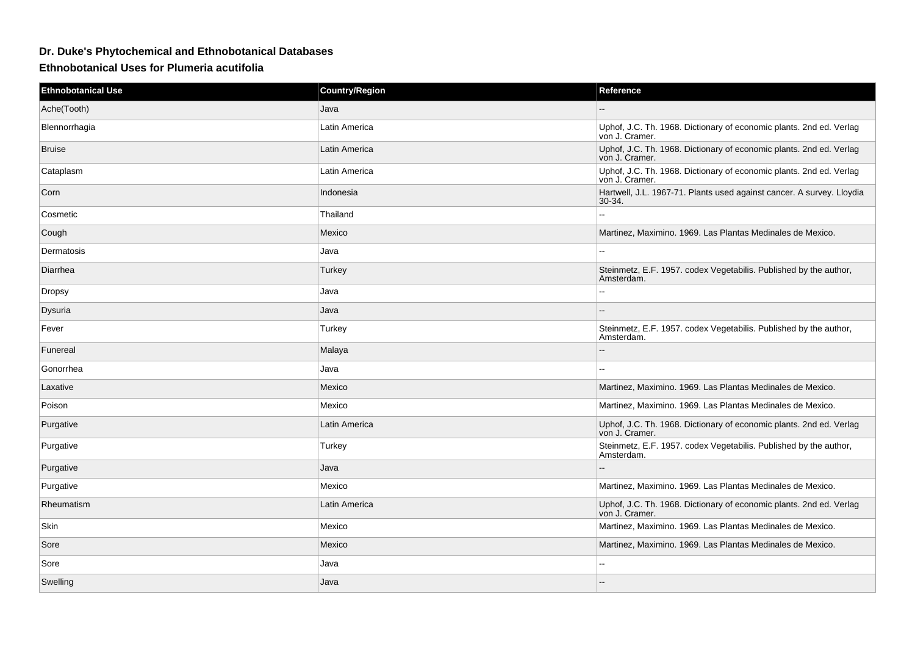## **Dr. Duke's Phytochemical and Ethnobotanical Databases**

**Ethnobotanical Uses for Plumeria acutifolia**

| <b>Ethnobotanical Use</b> | <b>Country/Region</b> | Reference                                                                             |
|---------------------------|-----------------------|---------------------------------------------------------------------------------------|
| Ache(Tooth)               | Java                  |                                                                                       |
| Blennorrhagia             | Latin America         | Uphof, J.C. Th. 1968. Dictionary of economic plants. 2nd ed. Verlag<br>von J. Cramer. |
| <b>Bruise</b>             | Latin America         | Uphof, J.C. Th. 1968. Dictionary of economic plants. 2nd ed. Verlag<br>von J. Cramer. |
| Cataplasm                 | Latin America         | Uphof, J.C. Th. 1968. Dictionary of economic plants. 2nd ed. Verlag<br>von J. Cramer. |
| Corn                      | Indonesia             | Hartwell, J.L. 1967-71. Plants used against cancer. A survey. Lloydia<br>$30-34.$     |
| Cosmetic                  | Thailand              |                                                                                       |
| Cough                     | Mexico                | Martinez, Maximino. 1969. Las Plantas Medinales de Mexico.                            |
| Dermatosis                | Java                  |                                                                                       |
| Diarrhea                  | Turkey                | Steinmetz, E.F. 1957. codex Vegetabilis. Published by the author,<br>Amsterdam.       |
| <b>Dropsy</b>             | Java                  |                                                                                       |
| Dysuria                   | Java                  |                                                                                       |
| Fever                     | Turkey                | Steinmetz, E.F. 1957. codex Vegetabilis. Published by the author,<br>Amsterdam.       |
| Funereal                  | Malaya                |                                                                                       |
| Gonorrhea                 | Java                  | --                                                                                    |
| Laxative                  | Mexico                | Martinez, Maximino. 1969. Las Plantas Medinales de Mexico.                            |
| Poison                    | Mexico                | Martinez, Maximino. 1969. Las Plantas Medinales de Mexico.                            |
| Purgative                 | Latin America         | Uphof, J.C. Th. 1968. Dictionary of economic plants. 2nd ed. Verlag<br>von J. Cramer. |
| Purgative                 | Turkey                | Steinmetz, E.F. 1957. codex Vegetabilis. Published by the author,<br>Amsterdam.       |
| Purgative                 | Java                  |                                                                                       |
| Purgative                 | Mexico                | Martinez, Maximino. 1969. Las Plantas Medinales de Mexico.                            |
| Rheumatism                | Latin America         | Uphof, J.C. Th. 1968. Dictionary of economic plants. 2nd ed. Verlag<br>von J. Cramer. |
| Skin                      | Mexico                | Martinez, Maximino. 1969. Las Plantas Medinales de Mexico.                            |
| Sore                      | Mexico                | Martinez, Maximino. 1969. Las Plantas Medinales de Mexico.                            |
| Sore                      | Java                  | ۵.                                                                                    |
| Swelling                  | Java                  |                                                                                       |